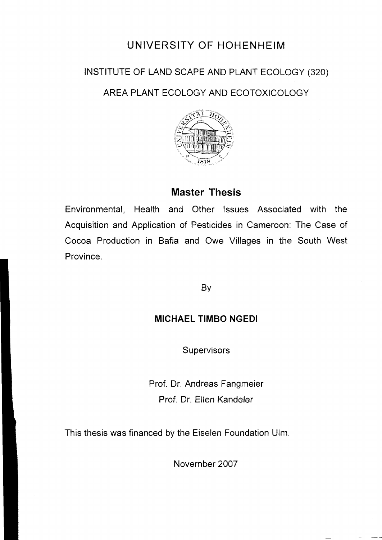# UNIVERSITY OF HOHENHEIM

## INSTITUTE OF LAND SCAPE AND PLANT ECOLOGY (320)

## AREA PLANT ECOLOGY AND ECOTOXICOLOGY



## **Master Thesis**

Environmental, Health and Other Issues Associated with the Acquisition and Application of Pesticides in Cameroon: The Case of Cocoa Production in Safia and Owe Villages in the South West Province.

**By** 

## **MICHAEL TIMBO NGEDI**

**Supervisors** 

Prof. Dr. Andreas Fangmeier Prof. Dr. Ellen Kandeler

This thesis was financed by the Eiselen Foundation Ulm.

Novernber 2007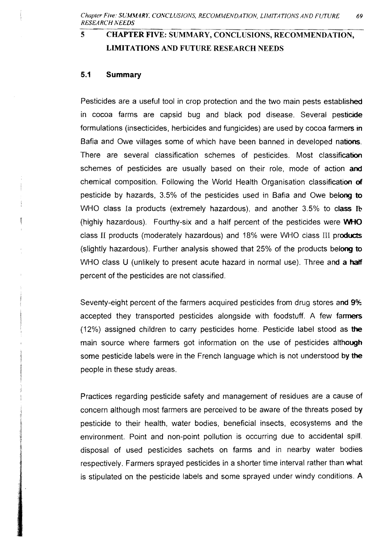## 5 CHAPTER FIVE: SUMMARY, CONCLUSIONS, RECOMMENDATION, LIMITATIONS AND FUTURE RESEARCH NEEDS

### 5.1 **Summary**

Pesticides are a useful tool in crop protection and the two main pests established in cocoa farms are capsid bug and black pod disease. Several pesticide formulations (insecticides, herbicides and fungicides) are used by cocoa farmers in Bafia and Owe villages some of which have been banned in developed nations. There are several classification schemes of pesticides. Most classification schemes of pesticides are usually based on their role, mode of action and chemical composition. Following the World Health Organisation classification of pesticide by hazards, 3.5% of the pesticides used in Bafia and Owe belong to WHO class Ia products (extremely hazardous), and another  $3.5\%$  to class Ib (highly hazardous). Fourthy-six and a half percent of the pesticides were  $W\!H\!O$ class II products (moderately hazardous) and 18% were WHO class III products (slightly hazardous). Further analysis showed that  $25\%$  of the products belong to WHO class U (unlikely to present acute hazard in normal use). Three and a half percent of the pesticides are not classified.

Seventy-eight percent of the farmers acquired pesticides from drug stores and 9% accepted they transported pesticides alongside with foodstuff. A few farmers  $(12%)$  assigned children to carry pesticides home. Pesticide label stood as the main source where farmers got information on the use of pesticides although some pesticide labels were in the French language which is not understood by the people in these study areas.

Practices regarding pesticide safety and management of residues are a cause of concern although most farmers are perceived to be aware of the threats posed by pesticide to their health, water bodies, beneficial insects, ecosystems and the environment. Point and non-point pollution is occurring due to accidental spill, disposal of used pesticides sachets on farms and in nearby water bodies respectively. Farmers sprayed pesticides in a shorter time interval rather than what is stipulated on the pesticide labels and some sprayed under windy conditions. A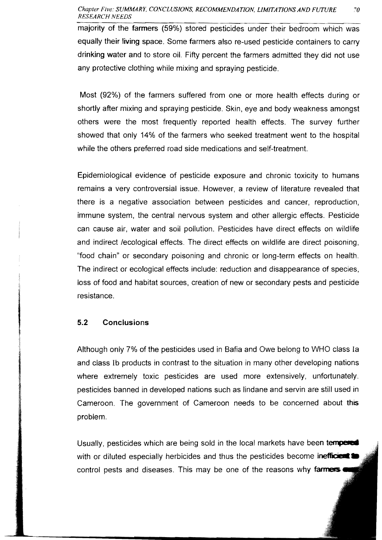majority of the fanners (59%) stored pesticides under their bedroom which was equally their living space. Some farmers also re-used pesticide containers to carry drinking water and to store oil. Fifty percent the farmers admitted they did not use any protective clothing while mixing and spraying pesticide.

Most (92%) of the farmers suffered from one or more health effects during or shortly after mixing and spraying pesticide. Skin, eye and body weakness amongst others were the most frequently reported health effects. The survey further showed that only 14% of the farmers who seeked treatment went to the hospital while the others preferred road side medications and self-treatment.

Epidemiological evidence of pesticide exposure and chronic toxicity to humans remains a very controversial issue. However, a review of literature revealed that there is a negative association between pesticides and cancer, reproduction, immune system, the central nervous system and other allergie effects. Pesticide can cause air, water and soil pollution. Pesticides have direct effects on wildlife and indirect /ecological effects. The direct effects on wildlife are direct poisoning, "food chain" or secondary poisoning and chronic or long-term effects on health. The indirect or ecological effects include: reduction and disappearance of species, loss of food and habitat sourees, creation of new or secondary pests and pesticide resistance.

#### 5.2 Conclusions

Although only 7% of the pesticides used in Bafia and Owe belong to WHO class Ia and class Ib products in contrast to the situation in many other developing nations where extremely toxic pesticides are used more extensively, unfortunately. pesticides banned in developed nations such as lindane and servin are still used in Cameroon. The government of Cameroon needs to be concerned about this problem.

Usually, pesticides which are being sold in the local markets have been tempered with or diluted especially herbicides and thus the pesticides become inefficient control pests and diseases. This may be one of the reasons why farmers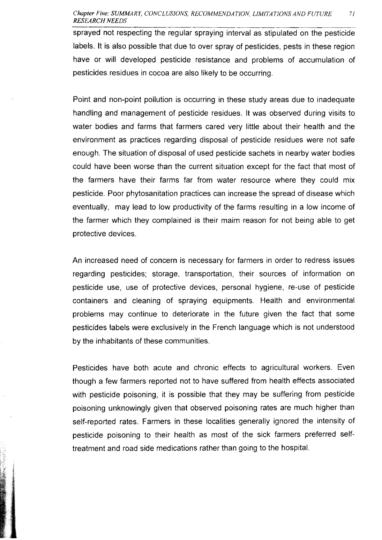#### *Chapter Five: SUMMARY, CONCLUSIONS, RECOMMENDATlON, L1MfTATlONS AND FUTURE 71 RESEARCH NEEDS*

sprayed not respecting the regular spraying interval as stipulated on the pesticide labels. It is also possible that due to over spray of pesticides, pests in these region have or will developed pesticide resistance and problems of accumulation of pesticides residues in cocoa are also likely to be occurring.

Point and non-point pollution is occurring in these study areas due to inadequate handling and management of pesticide residues. It was observed during visits to water bodies and farms that farmers cared very little about their health and the environment as practices regarding disposal of pesticide residues were not safe enough. The situation of disposal of used pesticide sachets in nearby water bodies could have been worse than the current situation except for the fact that most of the farmers have their farms far from water resource where they could mix pesticide. Poor phytosanitation practices can increase the spread of disease which eventually, may lead to low productivity of the farms resulting in a low income of the farmer which they complained is their maim reason for not being able to get protective devices.

An increased need of concern is necessary for farmers in order to redress issues regarding pesticides; storage, transportation, their sources of information on pesticide use, use of protective devices, personal hygiene, re-use of pesticide containers and cleaning of spraying equipments. Health and environmental problems may continue to deteriorate in the future given the fact that some pesticides labels were exclusively in the French language which is not understood by the inhabitants of these communities.

Pesticides have both acute and chronic effects to agricultural workers. Even though a few farmers reported not to have suffered from health effects associated with pesticide poisoning, it is possible that they may be suffering from pesticide poisoning unknowingly given that observed poisoning rates are much higher than self-reported rates. Farmers in these localities generally ignored the intensity of pesticide poisoning to their health as most of the sick farmers preferred selftreatment and road side medications rather than going to the hospital.